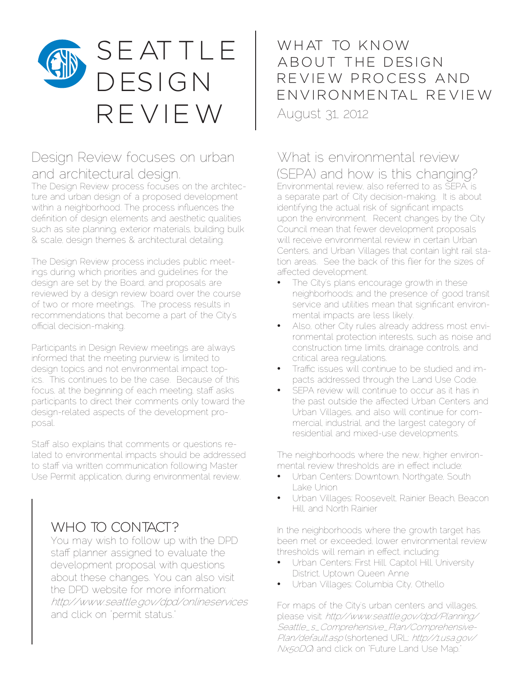

## Design Review focuses on urban and architectural design.

The Design Review process focuses on the architecture and urban design of a proposed development within a neighborhood. The process influences the definition of design elements and aesthetic qualities such as site planning, exterior materials, building bulk & scale, design themes & architectural detailing.

The Design Review process includes public meetings during which priorities and guidelines for the design are set by the Board, and proposals are reviewed by a design review board over the course of two or more meetings. The process results in recommendations that become a part of the City's official decision-making.

Participants in Design Review meetings are always informed that the meeting purview is limited to design topics and not environmental impact topics. This continues to be the case. Because of this focus, at the beginning of each meeting, staff asks participants to direct their comments only toward the design-related aspects of the development proposal.

Staff also explains that comments or questions related to environmental impacts should be addressed to staff via written communication following Master Use Permit application, during environmental review.

## WHO TO CONTACT?

You may wish to follow up with the DPD staff planner assigned to evaluate the development proposal with questions about these changes. You can also visit the DPD website for more information: http://www.seattle.gov/dpd/onlineservices and click on "permit status."

WHAT TO KNOW A B OUT THE DESIGN REVIEW PROCESS AND EN VIRONMENTAL REVIEW August 31, 2012

## What is environmental review (SEPA) and how is this changing?

Environmental review, also referred to as SEPA, is a separate part of City decision-making. It is about identifying the actual risk of significant impacts upon the environment. Recent changes by the City Council mean that fewer development proposals will receive environmental review in certain Urban Centers, and Urban Villages that contain light rail station areas. See the back of this flier for the sizes of affected development.

- The City's plans encourage growth in these neighborhoods; and the presence of good transit service and utilities mean that significant environmental impacts are less likely.
- Also, other City rules already address most environmental protection interests, such as noise and construction time limits, drainage controls, and critical area regulations.
- Traffic issues will continue to be studied and impacts addressed through the Land Use Code.
- SEPA review will continue to occur as it has in the past outside the affected Urban Centers and Urban Villages, and also will continue for commercial, industrial, and the largest category of residential and mixed-use developments.

The neighborhoods where the new, higher environmental review thresholds are in effect include:

- Urban Centers: Downtown, Northgate, South Lake Union
- Urban Villages: Roosevelt, Rainier Beach, Beacon Hill, and North Rainier

In the neighborhoods where the growth target has been met or exceeded, lower environmental review thresholds will remain in effect, including:

- Urban Centers: First Hill, Capitol Hill, University District, Uptown Queen Anne
- Urban Villages: Columbia City, Othello

For maps of the City's urban centers and villages, please visit: http://www.seattle.gov/dpd/Planning/ Seattle\_s\_Comprehensive\_Plan/Comprehensive-Plan/default.asp (shortened URL: http://1.usa.gov/ Nx5oDQ) and click on "Future Land Use Map."